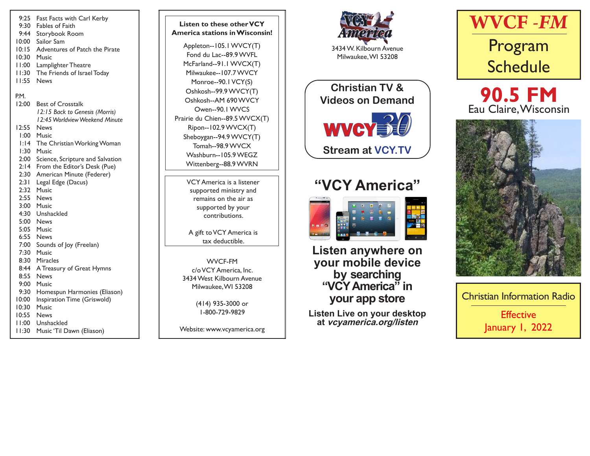- 9:25 Fast Facts with Carl Kerby 9:30 Fables of Faith 9:44 Storybook Room 10:00 Sailor Sam 10:15 Adventures of Patch the Pirate 10:30 Music 11:00 Lamplighter Theatre 11:30 The Friends of Israel Today 11:55 News P.M. 12:00 Best of Crosstalk *12:15 Back to Genesis (Morris) 12:45 Worldview Weekend Minute* 12:55 News 1:00 Music 1:14 The Christian Working Woman 1:30 Music 2:00 Science, Scripture and Salvation 2:14 From the Editor's Desk (Pue) 2:30 American Minute (Federer) 2:31 Legal Edge (Dacus) 2:32 Music 2:55 News 3:00 Music 4:30 Unshackled 5:00 News 5:05 Music 6:55 News 7:00 Sounds of Joy (Freelan) 7:30 Music 8:30 Miracles 8:44 A Treasury of Great Hymns 8:55 News 9:00 Music 9:30 Homespun Harmonies (Eliason) 10:00 Inspiration Time (Griswold) 10:30 Music 10:55 News 11:00 Unshackled 11:30 Music 'Til Dawn (Eliason)
- VCY America is a listener supported ministry and remains on the air as supported by your contributions. **Listen to these other VCY America stations in Wisconsin!** Appleton--105.1 WVCY(T) Fond du Lac--89.9 WVFL McFarland--91.1 WVCX(T) Milwaukee--107.7 WVCY Monroe--90.1 VCY(S) Oshkosh--99.9 WVCY(T) Oshkosh--AM 690 WVCY Owen--90.1 WVCS Prairie du Chien--89.5 WVCX(T) Ripon--102.9 WVCX(T) Sheboygan--94.9 WVCY(T) Tomah--98.9 WVCX Washburn--105.9 WEGZ Wittenberg--88.9 WVRN

A gift to VCY America is tax deductible.

WVCF-FM c/o VCY America, Inc. 3434 West Kilbourn Avenue Milwaukee, WI 53208

> (414) 935-3000 or 1-800-729-9829

Website: www.vcyamerica.org



Milwaukee, WI 53208

WVCY<sup>30</sup> **Christian TV & Videos on Demand Stream at VCY.TV**

# **"VCY America"**



**Listen anywhere on your mobile device by searching "VCY America" in your app store**

**Listen Live on your desktop at vcyamerica.org/listen**







Christian Information Radio **Effective** January 1, 2022